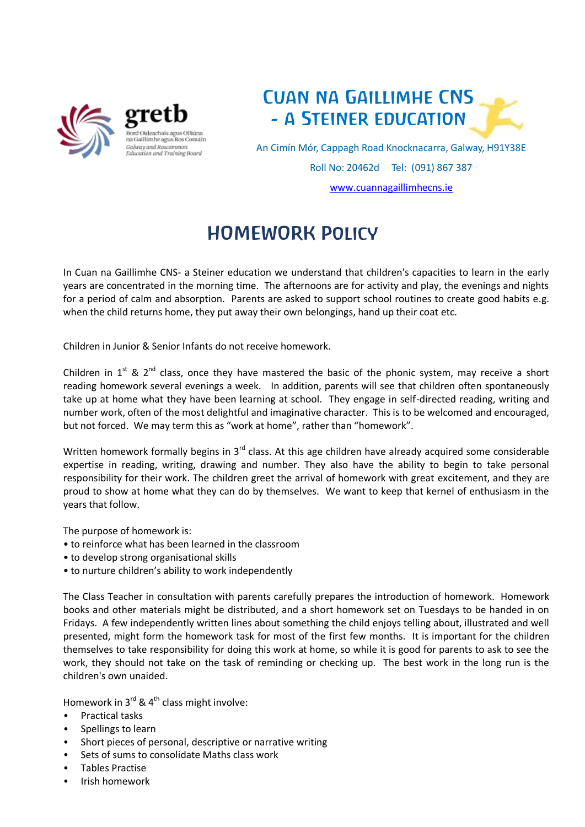



An Cimín Mór, Cappagh Road Knocknacarra, Galway, H91Y38E Roll No: 20462d Tel: (091) 867 387 [www.cuannagaillimhecns.ie](http://www.cuannagaillimhecns.ie/)

## HOMEWORK Policy

In Cuan na Gaillimhe CNS- a Steiner education we understand that children's capacities to learn in the early years are concentrated in the morning time. The afternoons are for activity and play, the evenings and nights for a period of calm and absorption. Parents are asked to support school routines to create good habits e.g. when the child returns home, they put away their own belongings, hand up their coat etc.

Children in Junior & Senior Infants do not receive homework.

Children in  $1^{st}$  &  $2^{nd}$  class, once they have mastered the basic of the phonic system, may receive a short reading homework several evenings a week. In addition, parents will see that children often spontaneously take up at home what they have been learning at school. They engage in self-directed reading, writing and number work, often of the most delightful and imaginative character. This is to be welcomed and encouraged, but not forced. We may term this as "work at home", rather than "homework".

Written homework formally begins in 3<sup>rd</sup> class. At this age children have already acquired some considerable expertise in reading, writing, drawing and number. They also have the ability to begin to take personal responsibility for their work. The children greet the arrival of homework with great excitement, and they are proud to show at home what they can do by themselves. We want to keep that kernel of enthusiasm in the years that follow.

The purpose of homework is:

- to reinforce what has been learned in the classroom
- to develop strong organisational skills
- to nurture children's ability to work independently

The Class Teacher in consultation with parents carefully prepares the introduction of homework. Homework books and other materials might be distributed, and a short homework set on Tuesdays to be handed in on Fridays. A few independently written lines about something the child enjoys telling about, illustrated and well presented, might form the homework task for most of the first few months. It is important for the children themselves to take responsibility for doing this work at home, so while it is good for parents to ask to see the work, they should not take on the task of reminding or checking up. The best work in the long run is the children's own unaided.

Homework in  $3^{rd}$  &  $4^{th}$  class might involve:

- Practical tasks
- Spellings to learn
- Short pieces of personal, descriptive or narrative writing
- Sets of sums to consolidate Maths class work
- Tables Practise
- Irish homework